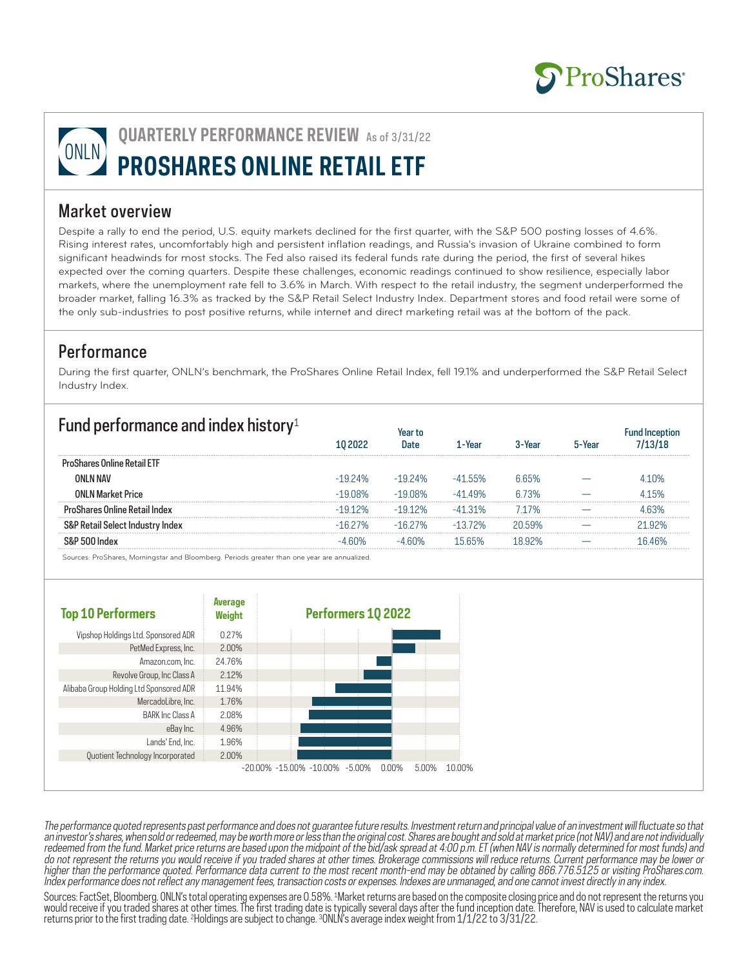

# **QUARTERLY PERFORMANCE REVIEW** As of 3/31/22 **PROSHARES ONLINE RETAIL ETF**

#### Market overview

Despite a rally to end the period, U.S. equity markets declined for the first quarter, with the S&P 500 posting losses of 4.6%. Rising interest rates, uncomfortably high and persistent inflation readings, and Russia's invasion of Ukraine combined to form significant headwinds for most stocks. The Fed also raised its federal funds rate during the period, the first of several hikes expected over the coming quarters. Despite these challenges, economic readings continued to show resilience, especially labor markets, where the unemployment rate fell to 3.6% in March. With respect to the retail industry, the segment underperformed the broader market, falling 16.3% as tracked by the S&P Retail Select Industry Index. Department stores and food retail were some of the only sub-industries to post positive returns, while internet and direct marketing retail was at the bottom of the pack.

#### **Performance**

During the first quarter, ONLN's benchmark, the ProShares Online Retail Index, fell 19.1% and underperformed the S&P Retail Select Industry Index.

| Fund performance and index history <sup>1</sup> |           |           | l – Year |                 |  |
|-------------------------------------------------|-----------|-----------|----------|-----------------|--|
|                                                 |           |           |          |                 |  |
| ONI N NAV                                       | $-1924\%$ | $-1924\%$ | 55%      |                 |  |
|                                                 | ገጸ%       |           |          | <u>  በ 73% </u> |  |
|                                                 |           |           |          |                 |  |
| ' Index                                         |           |           |          |                 |  |
|                                                 |           |           |          |                 |  |

Sources: ProShares, Morningstar and Bloomberg. Periods greater than one year are annualized.



The performance quoted represents past performance and does not guarantee future results. Investment return and principal value of an investment will fluctuate so that an investor's shares, when sold or redeemed, may be worth more or less than the original cost. Shares are bought and sold at market price (not NAV) and are not individually redeemed from the fund. Market price returns are based upon the midpoint of the bid/ask spread at 4:00 p.m. ET (when NAV is normally determined for most funds) and do not represent the returns you would receive if you traded shares at other times. Brokerage commissions will reduce returns. Current performance may be lower or higher than the performance quoted. Performance data current to the most recent month-end may be obtained by calling 866.776.5125 or visiting ProShares.com. Index performance does not reflect any management fees, transaction costs or expenses. Indexes are unmanaged, and one cannot invest directly in any index.

Sources: FactSet, Bloomberg. ONLN's total operating expenses are 0.58%. 1 Market returns are based on the composite closing price and do not represent the returns you would receive if you traded shares at other times. The first trading date is typically several days after the fund inception date. Therefore, NAV is used to calculate market returns prior to the first trading date. 2 Holdings are subject to change. 3 ONLN's average index weight from 1/1/22 to 3/31/22.